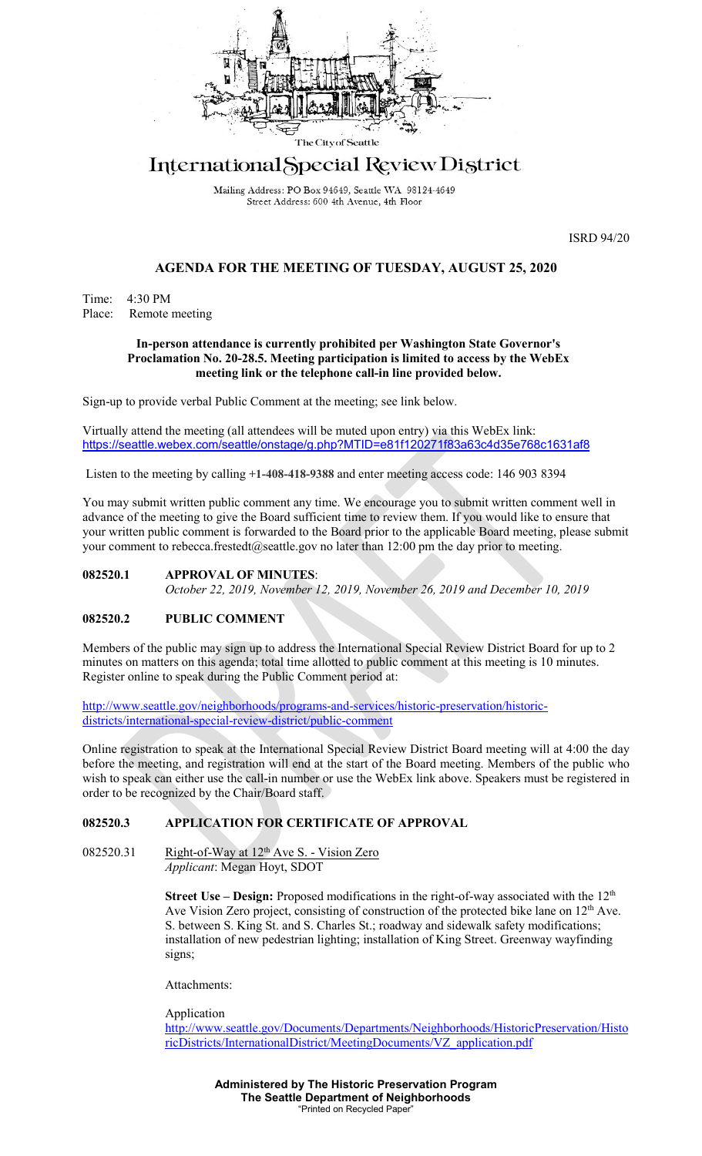

# International Special Review District

Mailing Address: PO Box 94649, Seattle WA 98124-4649 Street Address: 600 4th Avenue, 4th Floor

ISRD 94/20

## **AGENDA FOR THE MEETING OF TUESDAY, AUGUST 25, 2020**

Time: 4:30 PM Place: Remote meeting

## **In-person attendance is currently prohibited per Washington State Governor's Proclamation No. 20-28.5. Meeting participation is limited to access by the WebEx meeting link or the telephone call-in line provided below.**

Sign-up to provide verbal Public Comment at the meeting; see link below.

Virtually attend the meeting (all attendees will be muted upon entry) via this WebEx link: <https://seattle.webex.com/seattle/onstage/g.php?MTID=e81f120271f83a63c4d35e768c1631af8>

Listen to the meeting by calling **+1-408-418-9388** and enter meeting access code: 146 903 8394

You may submit written public comment any time. We encourage you to submit written comment well in advance of the meeting to give the Board sufficient time to review them. If you would like to ensure that your written public comment is forwarded to the Board prior to the applicable Board meeting, please submit your comment to rebecca.frestedt@seattle.gov no later than 12:00 pm the day prior to meeting.

## **082520.1 APPROVAL OF MINUTES**:

*October 22, 2019, November 12, 2019, November 26, 2019 and December 10, 2019*

## **082520.2 PUBLIC COMMENT**

Members of the public may sign up to address the International Special Review District Board for up to 2 minutes on matters on this agenda; total time allotted to public comment at this meeting is 10 minutes. Register online to speak during the Public Comment period at:

[http://www.seattle.gov/neighborhoods/programs-and-services/historic-preservation/historic](http://www.seattle.gov/neighborhoods/programs-and-services/historic-preservation/historic-districts/international-special-review-district/public-comment)[districts/international-special-review-district/public-comment](http://www.seattle.gov/neighborhoods/programs-and-services/historic-preservation/historic-districts/international-special-review-district/public-comment)

Online registration to speak at the International Special Review District Board meeting will at 4:00 the day before the meeting, and registration will end at the start of the Board meeting. Members of the public who wish to speak can either use the call-in number or use the WebEx link above. Speakers must be registered in order to be recognized by the Chair/Board staff.

## **082520.3 APPLICATION FOR CERTIFICATE OF APPROVAL**

082520.31 Right-of-Way at  $12<sup>th</sup>$  Ave S. - Vision Zero

*Applicant*: Megan Hoyt, SDOT

**Street Use – Design:** Proposed modifications in the right-of-way associated with the 12<sup>th</sup> Ave Vision Zero project, consisting of construction of the protected bike lane on 12<sup>th</sup> Ave. S. between S. King St. and S. Charles St.; roadway and sidewalk safety modifications; installation of new pedestrian lighting; installation of King Street. Greenway wayfinding signs;

Attachments:

Application

[http://www.seattle.gov/Documents/Departments/Neighborhoods/HistoricPreservation/Histo](http://www.seattle.gov/Documents/Departments/Neighborhoods/HistoricPreservation/HistoricDistricts/InternationalDistrict/MeetingDocuments/VZ_application.pdf) [ricDistricts/InternationalDistrict/MeetingDocuments/VZ\\_application.pdf](http://www.seattle.gov/Documents/Departments/Neighborhoods/HistoricPreservation/HistoricDistricts/InternationalDistrict/MeetingDocuments/VZ_application.pdf)

> **Administered by The Historic Preservation Program The Seattle Department of Neighborhoods** "Printed on Recycled Paper"